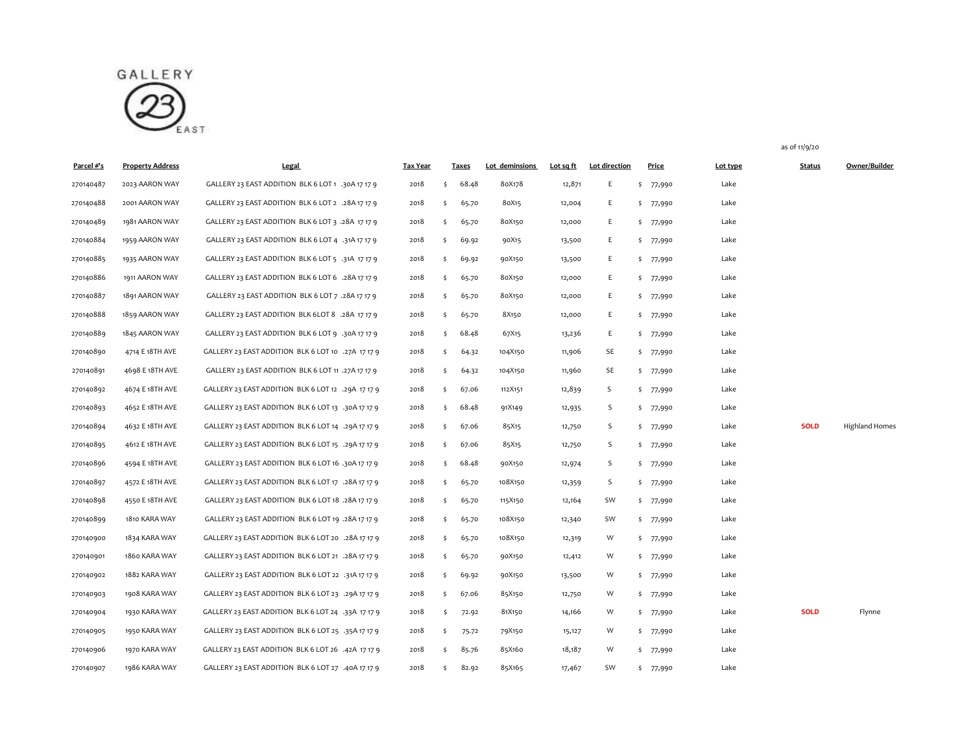

| Parcel #'s | <b>Property Address</b> | Legal                                              | <b>Tax Year</b> |    | <b>Taxes</b> | Lot deminsions | Lot sq ft | Lot direction | Price     | Lot type | <b>Status</b> | Owner/Builder         |
|------------|-------------------------|----------------------------------------------------|-----------------|----|--------------|----------------|-----------|---------------|-----------|----------|---------------|-----------------------|
| 270140487  | 2023 AARON WAY          | GALLERY 23 EAST ADDITION BLK 6 LOT 1 .30A 17 17 9  | 2018            | \$ | 68.48        | 80X178         | 12,871    | E.            | \$77,990  | Lake     |               |                       |
| 270140488  | 2001 AARON WAY          | GALLERY 23 EAST ADDITION BLK 6 LOT 2 .28A 17 17 9  | 2018            | \$ | 65.70        | 80X15          | 12,004    | E.            | \$77,990  | Lake     |               |                       |
| 270140489  | 1981 AARON WAY          | GALLERY 23 EAST ADDITION BLK 6 LOT 3 .28A 17 17 9  | 2018            | \$ | 65.70        | 80X150         | 12,000    | E             | \$77,990  | Lake     |               |                       |
| 270140884  | 1959 AARON WAY          | GALLERY 23 EAST ADDITION BLK 6 LOT 4 .31A 17 17 9  | 2018            | Ś. | 69.92        | 90X15          | 13,500    | E             | \$ 77,990 | Lake     |               |                       |
| 270140885  | 1935 AARON WAY          | GALLERY 23 EAST ADDITION BLK 6 LOT 5 .31A 17 17 9  | 2018            | \$ | 69.92        | 90X150         | 13,500    | E             | \$77,990  | Lake     |               |                       |
| 270140886  | 1911 AARON WAY          | GALLERY 23 EAST ADDITION BLK 6 LOT 6 .28A 17 17 9  | 2018            | Ś. | 65.70        | 80X150         | 12,000    | E             | \$ 77,990 | Lake     |               |                       |
| 270140887  | 1891 AARON WAY          | GALLERY 23 EAST ADDITION BLK 6 LOT 7 .28A 17 17 9  | 2018            | \$ | 65.70        | 80X150         | 12,000    | E             | \$ 77,990 | Lake     |               |                       |
| 270140888  | 1859 AARON WAY          | GALLERY 23 EAST ADDITION BLK 6LOT 8 .28A 17 17 9   | 2018            | \$ | 65.70        | 8X150          | 12,000    | E             | \$ 77,990 | Lake     |               |                       |
| 270140889  | 1845 AARON WAY          | GALLERY 23 EAST ADDITION BLK 6 LOT 9 .30A 17 17 9  | 2018            | \$ | 68.48        | 67X15          | 13,236    | E             | \$77,990  | Lake     |               |                       |
| 270140890  | 4714 E 18TH AVE         | GALLERY 23 EAST ADDITION BLK 6 LOT 10 .27A 17 17 9 | 2018            | \$ | 64.32        | 104X150        | 11,906    | SE            | \$77,990  | Lake     |               |                       |
| 270140891  | 4698 E 18TH AVE         | GALLERY 23 EAST ADDITION BLK 6 LOT 11 .27A 17 17 9 | 2018            | Ś. | 64.32        | 104X150        | 11,960    | SE            | \$77,990  | Lake     |               |                       |
| 270140892  | 4674 E 18TH AVE         | GALLERY 23 EAST ADDITION BLK 6 LOT 12 .29A 17 17 9 | 2018            | \$ | 67.06        | 112X151        | 12,839    | S             | \$ 77,990 | Lake     |               |                       |
| 270140893  | 4652 E 18TH AVE         | GALLERY 23 EAST ADDITION BLK 6 LOT 13 .30A 17 17 9 | 2018            | Ŝ. | 68.48        | 91X149         | 12,935    | S             | \$ 77,990 | Lake     |               |                       |
| 270140894  | 4632 E 18TH AVE         | GALLERY 23 EAST ADDITION BLK 6 LOT 14 .29A 17 17 9 | 2018            | \$ | 67.06        | 85X15          | 12,750    | S             | \$77,990  | Lake     | <b>SOLD</b>   | <b>Highland Homes</b> |
| 270140895  | 4612 E 18TH AVE         | GALLERY 23 EAST ADDITION BLK 6 LOT 15 .29A 17 17 9 | 2018            | \$ | 67.06        | 85X15          | 12,750    | S             | \$77,990  | Lake     |               |                       |
| 270140896  | 4594 E 18TH AVE         | GALLERY 23 EAST ADDITION BLK 6 LOT 16 .30A 17 17 9 | 2018            | \$ | 68.48        | 90X150         | 12,974    | S             | \$77,990  | Lake     |               |                       |
| 270140897  | 4572 E 18TH AVE         | GALLERY 23 EAST ADDITION BLK 6 LOT 17 .28A 17 17 9 | 2018            | \$ | 65.70        | 108X150        | 12,359    | S             | \$ 77,990 | Lake     |               |                       |
| 270140898  | 4550 E 18TH AVE         | GALLERY 23 EAST ADDITION BLK 6 LOT 18 .28A 17 17 9 | 2018            | Ś. | 65.70        | 115X150        | 12,164    | SW            | \$77,990  | Lake     |               |                       |
| 270140899  | 1810 KARA WAY           | GALLERY 23 EAST ADDITION BLK 6 LOT 19 .28A 17 17 9 | 2018            | \$ | 65.70        | 108X150        | 12,340    | SW            | \$ 77,990 | Lake     |               |                       |
| 270140900  | 1834 KARA WAY           | GALLERY 23 EAST ADDITION BLK 6 LOT 20 .28A 17 17 9 | 2018            | \$ | 65.70        | 108X150        | 12,319    | W             | \$77,990  | Lake     |               |                       |
| 270140901  | 1860 KARA WAY           | GALLERY 23 EAST ADDITION BLK 6 LOT 21 .28A 17 17 9 | 2018            | \$ | 65.70        | 90X150         | 12,412    | W             | \$77,990  | Lake     |               |                       |
| 270140902  | 1882 KARA WAY           | GALLERY 23 EAST ADDITION BLK 6 LOT 22 .31A 17 17 9 | 2018            | \$ | 69.92        | 90X150         | 13,500    | W             | \$ 77,990 | Lake     |               |                       |
| 270140903  | 1908 KARA WAY           | GALLERY 23 EAST ADDITION BLK 6 LOT 23 .29A 17 17 9 | 2018            | Ś. | 67.06        | 85X150         | 12,750    | W             | \$ 77,990 | Lake     |               |                       |
| 270140904  | 1930 KARA WAY           | GALLERY 23 EAST ADDITION BLK 6 LOT 24 .33A 17 17 9 | 2018            | \$ | 72.92        | 81X150         | 14,166    | W             | \$ 77,990 | Lake     | <b>SOLD</b>   | Flynne                |
| 270140905  | 1950 KARA WAY           | GALLERY 23 EAST ADDITION BLK 6 LOT 25 .35A 17 17 9 | 2018            | \$ | 75.72        | 79X150         | 15,127    | W             | \$77,990  | Lake     |               |                       |
| 270140906  | 1970 KARA WAY           | GALLERY 23 EAST ADDITION BLK 6 LOT 26 .42A 17 17 9 | 2018            | \$ | 85.76        | 85X160         | 18,187    | W             | \$ 77,990 | Lake     |               |                       |

1986 KARA WAY GALLERY 23 EAST ADDITION BLK 6 LOT 27 .40A 17 17 9 2018 \$ 82.92 85X165 17,467 SW \$ 77,990 Lake

as of 11/9/20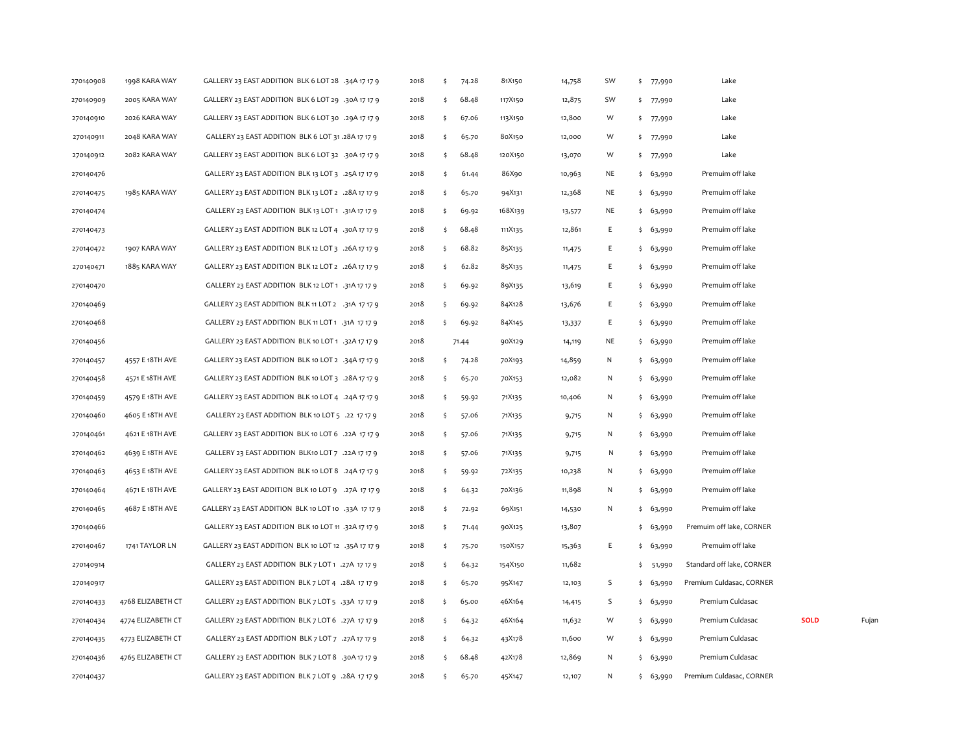| 270140909<br>270140910<br>270140911<br>270140912<br>270140476<br>270140475<br>270140474<br>270140473<br>270140472<br>270140471<br>270140470<br>270140469<br>270140468<br>270140456<br>270140457<br>270140458<br>270140459<br>270140460<br>270140461 | 2005 KARA WAY<br>2026 KARA WAY<br>2048 KARA WAY<br>2082 KARA WAY<br>1985 KARA WAY<br>1907 KARA WAY | GALLERY 23 EAST ADDITION BLK 6 LOT 29 .30A 17 17 9<br>GALLERY 23 EAST ADDITION BLK 6 LOT 30 .29A 17 17 9<br>GALLERY 23 EAST ADDITION BLK 6 LOT 31 .28A 17 17 9<br>GALLERY 23 EAST ADDITION BLK 6 LOT 32 .30A 17 17 9<br>GALLERY 23 EAST ADDITION BLK 13 LOT 3 .25A 17 17 9<br>GALLERY 23 EAST ADDITION BLK 13 LOT 2 .28A 17 17 9<br>GALLERY 23 EAST ADDITION BLK 13 LOT 1 .31A 17 17 9<br>GALLERY 23 EAST ADDITION BLK 12 LOT 4 .30A 17 17 9<br>GALLERY 23 EAST ADDITION BLK 12 LOT 3 .26A 17 17 9 | 2018<br>2018<br>2018<br>2018<br>2018<br>2018<br>2018<br>2018 | \$<br>\$<br>\$<br>\$<br>\$<br>\$<br>\$ | 68.48<br>67.06<br>65.70<br>68.48<br>61.44<br>65.70 | 117X150<br>113X150<br>80X150<br>120X150<br>86X90<br>94X131 | 12,875<br>12,800<br>12,000<br>13,070<br>10,963 | SW<br>W<br>W<br>W<br>NE | \$ 77,990<br>\$ 77,990<br>\$ 77,990<br>\$ 77,990 | Lake<br>Lake<br>Lake<br>Lake |             |       |
|-----------------------------------------------------------------------------------------------------------------------------------------------------------------------------------------------------------------------------------------------------|----------------------------------------------------------------------------------------------------|----------------------------------------------------------------------------------------------------------------------------------------------------------------------------------------------------------------------------------------------------------------------------------------------------------------------------------------------------------------------------------------------------------------------------------------------------------------------------------------------------|--------------------------------------------------------------|----------------------------------------|----------------------------------------------------|------------------------------------------------------------|------------------------------------------------|-------------------------|--------------------------------------------------|------------------------------|-------------|-------|
|                                                                                                                                                                                                                                                     |                                                                                                    |                                                                                                                                                                                                                                                                                                                                                                                                                                                                                                    |                                                              |                                        |                                                    |                                                            |                                                |                         |                                                  |                              |             |       |
|                                                                                                                                                                                                                                                     |                                                                                                    |                                                                                                                                                                                                                                                                                                                                                                                                                                                                                                    |                                                              |                                        |                                                    |                                                            |                                                |                         |                                                  |                              |             |       |
|                                                                                                                                                                                                                                                     |                                                                                                    |                                                                                                                                                                                                                                                                                                                                                                                                                                                                                                    |                                                              |                                        |                                                    |                                                            |                                                |                         |                                                  |                              |             |       |
|                                                                                                                                                                                                                                                     |                                                                                                    |                                                                                                                                                                                                                                                                                                                                                                                                                                                                                                    |                                                              |                                        |                                                    |                                                            |                                                |                         |                                                  |                              |             |       |
|                                                                                                                                                                                                                                                     |                                                                                                    |                                                                                                                                                                                                                                                                                                                                                                                                                                                                                                    |                                                              |                                        |                                                    |                                                            |                                                |                         | \$63,990                                         | Premuim off lake             |             |       |
|                                                                                                                                                                                                                                                     |                                                                                                    |                                                                                                                                                                                                                                                                                                                                                                                                                                                                                                    |                                                              |                                        |                                                    |                                                            | 12,368                                         | NE                      | \$63,990                                         | Premuim off lake             |             |       |
|                                                                                                                                                                                                                                                     |                                                                                                    |                                                                                                                                                                                                                                                                                                                                                                                                                                                                                                    |                                                              |                                        | 69.92                                              | 168X139                                                    | 13,577                                         | NE                      | \$63,990                                         | Premuim off lake             |             |       |
|                                                                                                                                                                                                                                                     |                                                                                                    |                                                                                                                                                                                                                                                                                                                                                                                                                                                                                                    |                                                              | \$                                     | 68.48                                              | 111X135                                                    | 12,861                                         | Ε                       | \$63,990                                         | Premuim off lake             |             |       |
|                                                                                                                                                                                                                                                     |                                                                                                    |                                                                                                                                                                                                                                                                                                                                                                                                                                                                                                    | 2018                                                         | \$                                     | 68.82                                              | 85X135                                                     | 11,475                                         | E                       | \$63,990                                         | Premuim off lake             |             |       |
|                                                                                                                                                                                                                                                     | 1885 KARA WAY                                                                                      | GALLERY 23 EAST ADDITION BLK 12 LOT 2 .26A 17 17 9                                                                                                                                                                                                                                                                                                                                                                                                                                                 | 2018                                                         | \$                                     | 62.82                                              | 85X135                                                     | 11,475                                         | Ε                       | \$63,990                                         | Premuim off lake             |             |       |
|                                                                                                                                                                                                                                                     |                                                                                                    | GALLERY 23 EAST ADDITION BLK 12 LOT 1 .31A 17 17 9                                                                                                                                                                                                                                                                                                                                                                                                                                                 | 2018                                                         | \$                                     | 69.92                                              | 89X135                                                     | 13,619                                         | Ε                       | \$63,990                                         | Premuim off lake             |             |       |
|                                                                                                                                                                                                                                                     |                                                                                                    | GALLERY 23 EAST ADDITION BLK 11 LOT 2 .31A 17 17 9                                                                                                                                                                                                                                                                                                                                                                                                                                                 | 2018                                                         |                                        | 69.92                                              | 84X128                                                     | 13,676                                         | Ε                       | \$63,990                                         | Premuim off lake             |             |       |
|                                                                                                                                                                                                                                                     |                                                                                                    | GALLERY 23 EAST ADDITION BLK 11 LOT 1 .31A 17 17 9                                                                                                                                                                                                                                                                                                                                                                                                                                                 | 2018                                                         | Ŝ.                                     | 69.92                                              | 84X145                                                     | 13,337                                         | E                       | \$63,990                                         | Premuim off lake             |             |       |
|                                                                                                                                                                                                                                                     |                                                                                                    | GALLERY 23 EAST ADDITION BLK 10 LOT 1 .32A 17 17 9                                                                                                                                                                                                                                                                                                                                                                                                                                                 | 2018                                                         |                                        | 71.44                                              | 90X129                                                     | 14,119                                         | NE                      | \$63,990                                         | Premuim off lake             |             |       |
|                                                                                                                                                                                                                                                     | 4557 E 18TH AVE                                                                                    | GALLERY 23 EAST ADDITION BLK 10 LOT 2 .34A 17 17 9                                                                                                                                                                                                                                                                                                                                                                                                                                                 | 2018                                                         | \$                                     | 74.28                                              | 70X193                                                     | 14,859                                         | N                       | \$63,990                                         | Premuim off lake             |             |       |
|                                                                                                                                                                                                                                                     | 4571 E 18TH AVE                                                                                    | GALLERY 23 EAST ADDITION BLK 10 LOT 3 .28A 17 17 9                                                                                                                                                                                                                                                                                                                                                                                                                                                 | 2018                                                         | \$                                     | 65.70                                              | 70X153                                                     | 12,082                                         | N                       | \$63,990                                         | Premuim off lake             |             |       |
|                                                                                                                                                                                                                                                     | 4579 E 18TH AVE                                                                                    | GALLERY 23 EAST ADDITION BLK 10 LOT 4 .24A 17 17 9                                                                                                                                                                                                                                                                                                                                                                                                                                                 | 2018                                                         | \$                                     | 59.92                                              | 71X135                                                     | 10,406                                         | N                       | \$63,990                                         | Premuim off lake             |             |       |
|                                                                                                                                                                                                                                                     | 4605 E 18TH AVE                                                                                    | GALLERY 23 EAST ADDITION BLK 10 LOT 5 .22 17 17 9                                                                                                                                                                                                                                                                                                                                                                                                                                                  | 2018                                                         | \$                                     | 57.06                                              | 71X135                                                     | 9,715                                          | N                       | \$63,990                                         | Premuim off lake             |             |       |
|                                                                                                                                                                                                                                                     | 4621 E 18TH AVE                                                                                    | GALLERY 23 EAST ADDITION BLK 10 LOT 6 .22A 17 17 9                                                                                                                                                                                                                                                                                                                                                                                                                                                 | 2018                                                         | Ŝ.                                     | 57.06                                              | 71X135                                                     | 9,715                                          | ${\sf N}$               | \$63,990                                         | Premuim off lake             |             |       |
| 270140462                                                                                                                                                                                                                                           | 4639 E 18TH AVE                                                                                    | GALLERY 23 EAST ADDITION BLK10 LOT 7 .22A 17 17 9                                                                                                                                                                                                                                                                                                                                                                                                                                                  | 2018                                                         | \$                                     | 57.06                                              | 71X135                                                     | 9,715                                          | N                       | \$63,990                                         | Premuim off lake             |             |       |
| 270140463                                                                                                                                                                                                                                           | 4653 E 18TH AVE                                                                                    | GALLERY 23 EAST ADDITION BLK 10 LOT 8 .24A 17 17 9                                                                                                                                                                                                                                                                                                                                                                                                                                                 | 2018                                                         | \$                                     | 59.92                                              | 72X135                                                     | 10,238                                         | N                       | \$63,990                                         | Premuim off lake             |             |       |
| 270140464                                                                                                                                                                                                                                           | 4671 E 18TH AVE                                                                                    | GALLERY 23 EAST ADDITION BLK 10 LOT 9 .27A 17 17 9                                                                                                                                                                                                                                                                                                                                                                                                                                                 | 2018                                                         | \$                                     | 64.32                                              | 70X136                                                     | 11,898                                         | Ν                       | \$63,990                                         | Premuim off lake             |             |       |
| 270140465                                                                                                                                                                                                                                           | 4687 E 18TH AVE                                                                                    | GALLERY 23 EAST ADDITION BLK 10 LOT 10 .33A 17 17 9                                                                                                                                                                                                                                                                                                                                                                                                                                                | 2018                                                         | \$                                     | 72.92                                              | 69X151                                                     | 14,530                                         | N                       | \$63,990                                         | Premuim off lake             |             |       |
| 270140466                                                                                                                                                                                                                                           |                                                                                                    | GALLERY 23 EAST ADDITION BLK 10 LOT 11 .32A 17 17 9                                                                                                                                                                                                                                                                                                                                                                                                                                                | 2018                                                         | \$                                     | 71.44                                              | 90X125                                                     | 13,807                                         |                         | \$63,990                                         | Premuim off lake, CORNER     |             |       |
| 270140467                                                                                                                                                                                                                                           | 1741 TAYLOR LN                                                                                     | GALLERY 23 EAST ADDITION BLK 10 LOT 12 .35A 17 17 9                                                                                                                                                                                                                                                                                                                                                                                                                                                | 2018                                                         | \$                                     | 75.70                                              | 150X157                                                    | 15,363                                         | Ε                       | \$63,990                                         | Premuim off lake             |             |       |
| 270140914                                                                                                                                                                                                                                           |                                                                                                    | GALLERY 23 EAST ADDITION BLK 7 LOT 1 .27A 17 17 9                                                                                                                                                                                                                                                                                                                                                                                                                                                  | 2018                                                         | \$                                     | 64.32                                              | 154X150                                                    | 11,682                                         |                         | \$ 51,990                                        | Standard off lake, CORNER    |             |       |
| 270140917                                                                                                                                                                                                                                           |                                                                                                    | GALLERY 23 EAST ADDITION BLK 7 LOT 4 .28A 17 17 9                                                                                                                                                                                                                                                                                                                                                                                                                                                  | 2018                                                         | \$                                     | 65.70                                              | 95X147                                                     | 12,103                                         | S                       | \$63,990                                         | Premium Culdasac, CORNER     |             |       |
| 270140433                                                                                                                                                                                                                                           | 4768 ELIZABETH CT                                                                                  | GALLERY 23 EAST ADDITION BLK 7 LOT 5 .33A 17 17 9                                                                                                                                                                                                                                                                                                                                                                                                                                                  | 2018                                                         | \$                                     | 65.00                                              | 46X164                                                     | 14,415                                         | S                       | \$63,990                                         | Premium Culdasac             |             |       |
| 270140434                                                                                                                                                                                                                                           | 4774 ELIZABETH CT                                                                                  | GALLERY 23 EAST ADDITION BLK 7 LOT 6 .27A 17 17 9                                                                                                                                                                                                                                                                                                                                                                                                                                                  | 2018                                                         | \$                                     | 64.32                                              | 46X164                                                     | 11,632                                         | W                       | \$63,990                                         | Premium Culdasac             | <b>SOLD</b> | Fujan |
| 270140435                                                                                                                                                                                                                                           | 4773 ELIZABETH CT                                                                                  | GALLERY 23 EAST ADDITION BLK 7 LOT 7 .27A 17 17 9                                                                                                                                                                                                                                                                                                                                                                                                                                                  | 2018                                                         | \$                                     | 64.32                                              | 43X178                                                     | 11,600                                         | W                       | \$63,990                                         | Premium Culdasac             |             |       |
| 270140436                                                                                                                                                                                                                                           | 4765 ELIZABETH CT                                                                                  | GALLERY 23 EAST ADDITION BLK 7 LOT 8 .30A 17 17 9                                                                                                                                                                                                                                                                                                                                                                                                                                                  | 2018                                                         | \$                                     | 68.48                                              | 42X178                                                     | 12,869                                         | N                       | \$63,990                                         | Premium Culdasac             |             |       |
| 270140437                                                                                                                                                                                                                                           |                                                                                                    | GALLERY 23 EAST ADDITION BLK 7 LOT 9 .28A 17 17 9                                                                                                                                                                                                                                                                                                                                                                                                                                                  | 2018                                                         | Ŝ.                                     | 65.70                                              | 45X147                                                     | 12,107                                         | N                       | \$63,990                                         | Premium Culdasac, CORNER     |             |       |